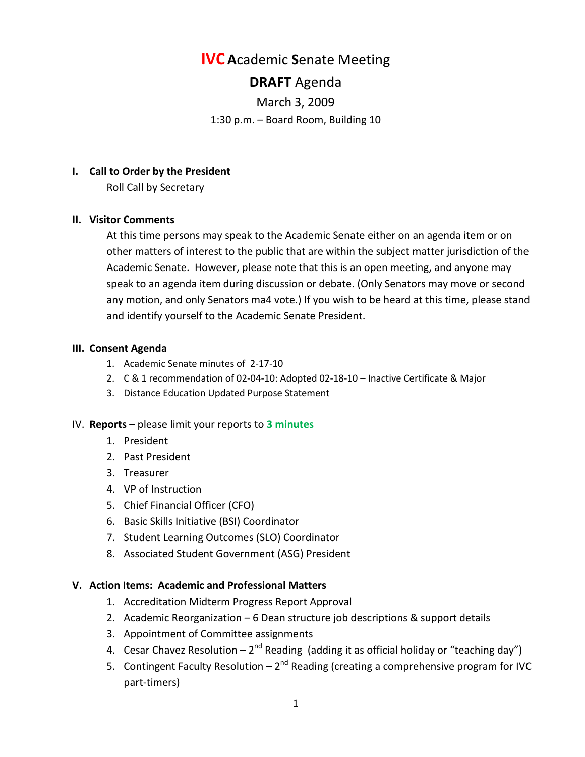# **IVC A**cademic **S**enate Meeting

# **DRAFT** Agenda

March 3, 2009 1:30 p.m. – Board Room, Building 10

## **I. Call to Order by the President**

Roll Call by Secretary

## **II. Visitor Comments**

At this time persons may speak to the Academic Senate either on an agenda item or on other matters of interest to the public that are within the subject matter jurisdiction of the Academic Senate. However, please note that this is an open meeting, and anyone may speak to an agenda item during discussion or debate. (Only Senators may move or second any motion, and only Senators ma4 vote.) If you wish to be heard at this time, please stand and identify yourself to the Academic Senate President.

## **III. Consent Agenda**

- 1. Academic Senate minutes of 2-17-10
- 2. C & 1 recommendation of 02-04-10: Adopted 02-18-10 Inactive Certificate & Major
- 3. Distance Education Updated Purpose Statement

# IV. **Reports** – please limit your reports to **3 minutes**

- 1. President
- 2. Past President
- 3. Treasurer
- 4. VP of Instruction
- 5. Chief Financial Officer (CFO)
- 6. Basic Skills Initiative (BSI) Coordinator
- 7. Student Learning Outcomes (SLO) Coordinator
- 8. Associated Student Government (ASG) President

## **V. Action Items: Academic and Professional Matters**

- 1. Accreditation Midterm Progress Report Approval
- 2. Academic Reorganization 6 Dean structure job descriptions & support details
- 3. Appointment of Committee assignments
- 4. Cesar Chavez Resolution  $2^{nd}$  Reading (adding it as official holiday or "teaching day")
- 5. Contingent Faculty Resolution  $-2^{nd}$  Reading (creating a comprehensive program for IVC part-timers)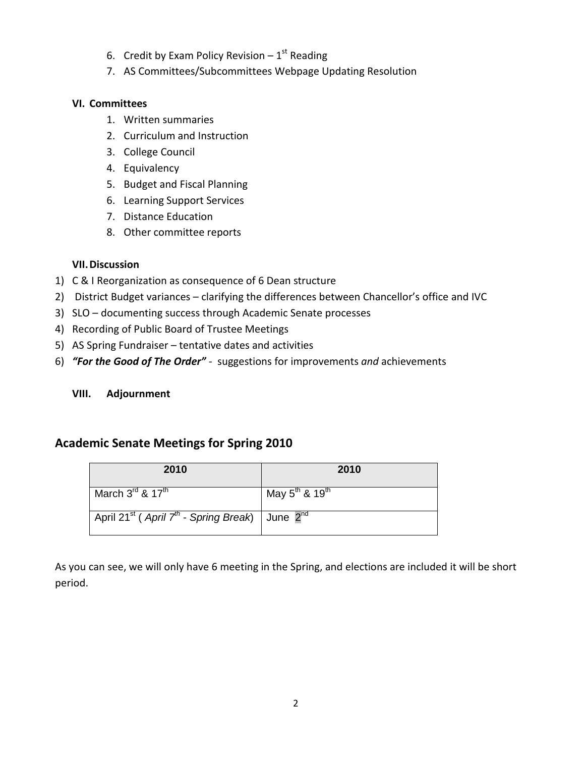- 6. Credit by Exam Policy Revision  $-1$ <sup>st</sup> Reading
- 7. AS Committees/Subcommittees Webpage Updating Resolution

## **VI. Committees**

- 1. Written summaries
- 2. Curriculum and Instruction
- 3. College Council
- 4. Equivalency
- 5. Budget and Fiscal Planning
- 6. Learning Support Services
- 7. Distance Education
- 8. Other committee reports

# **VII.Discussion**

- 1) C & I Reorganization as consequence of 6 Dean structure
- 2) District Budget variances clarifying the differences between Chancellor's office and IVC
- 3) SLO documenting success through Academic Senate processes
- 4) Recording of Public Board of Trustee Meetings
- 5) AS Spring Fundraiser tentative dates and activities
- 6) *"For the Good of The Order"*  suggestions for improvements *and* achievements

# **VIII. Adjournment**

# **Academic Senate Meetings for Spring 2010**

| 2010                                                                                 | 2010                                |
|--------------------------------------------------------------------------------------|-------------------------------------|
| March $3^{\text{rd}}$ & $17^{\text{th}}$                                             | May $5^{th}$ & $\overline{19^{th}}$ |
| April 21 <sup>st</sup> (April 7 <sup>th</sup> - Spring Break)   June 2 <sup>nd</sup> |                                     |

As you can see, we will only have 6 meeting in the Spring, and elections are included it will be short period.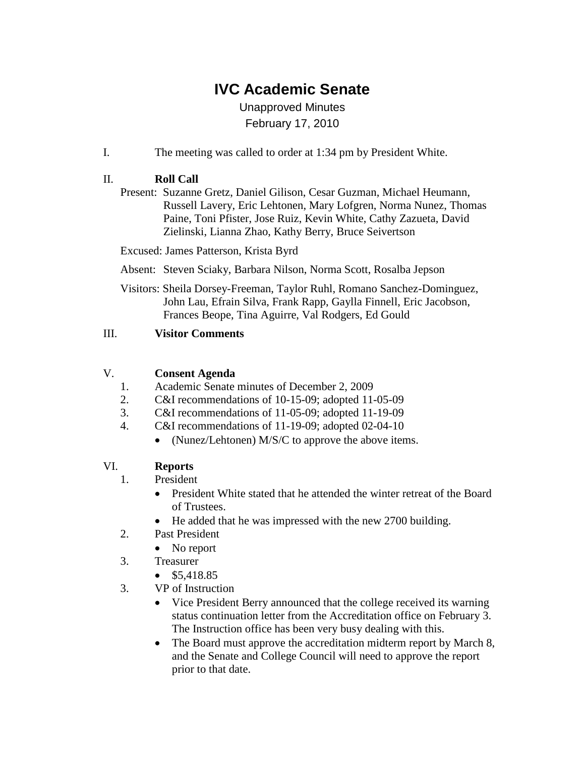# **IVC Academic Senate**

# Unapproved Minutes February 17, 2010

I. The meeting was called to order at 1:34 pm by President White.

# II. **Roll Call**

Present: Suzanne Gretz, Daniel Gilison, Cesar Guzman, Michael Heumann, Russell Lavery, Eric Lehtonen, Mary Lofgren, Norma Nunez, Thomas Paine, Toni Pfister, Jose Ruiz, Kevin White, Cathy Zazueta, David Zielinski, Lianna Zhao, Kathy Berry, Bruce Seivertson

Excused: James Patterson, Krista Byrd

Absent: Steven Sciaky, Barbara Nilson, Norma Scott, Rosalba Jepson

Visitors: Sheila Dorsey-Freeman, Taylor Ruhl, Romano Sanchez-Dominguez, John Lau, Efrain Silva, Frank Rapp, Gaylla Finnell, Eric Jacobson, Frances Beope, Tina Aguirre, Val Rodgers, Ed Gould

# III. **Visitor Comments**

# V. **Consent Agenda**

- 1. Academic Senate minutes of December 2, 2009
- 2. C&I recommendations of 10-15-09; adopted 11-05-09
- 3. C&I recommendations of 11-05-09; adopted 11-19-09
- 4. C&I recommendations of 11-19-09; adopted 02-04-10
	- (Nunez/Lehtonen) M/S/C to approve the above items.

# VI. **Reports**

- 1. President
	- President White stated that he attended the winter retreat of the Board of Trustees.
	- He added that he was impressed with the new 2700 building.
- 2. Past President
	- No report
- 3. Treasurer
	- \$5,418.85
- 3. VP of Instruction
	- Vice President Berry announced that the college received its warning status continuation letter from the Accreditation office on February 3. The Instruction office has been very busy dealing with this.
	- The Board must approve the accreditation midterm report by March 8, and the Senate and College Council will need to approve the report prior to that date.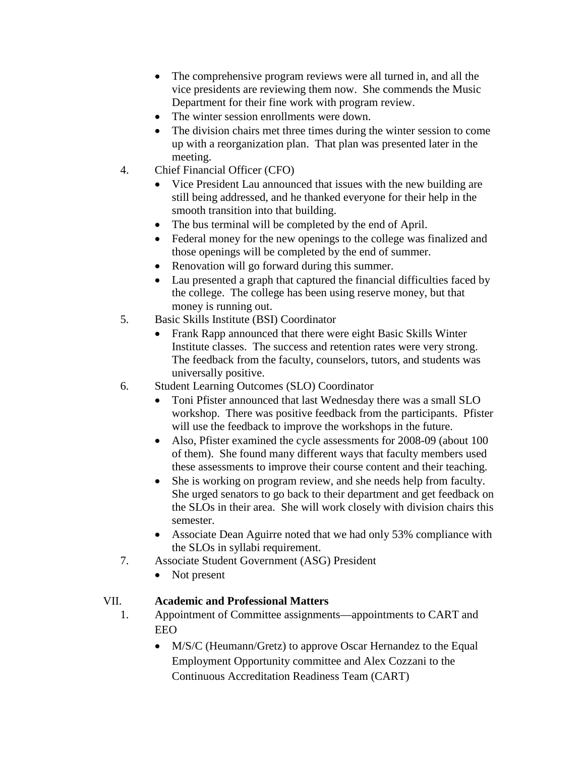- The comprehensive program reviews were all turned in, and all the vice presidents are reviewing them now. She commends the Music Department for their fine work with program review.
- The winter session enrollments were down.
- The division chairs met three times during the winter session to come up with a reorganization plan. That plan was presented later in the meeting.
- 4. Chief Financial Officer (CFO)
	- Vice President Lau announced that issues with the new building are still being addressed, and he thanked everyone for their help in the smooth transition into that building.
	- The bus terminal will be completed by the end of April.
	- Federal money for the new openings to the college was finalized and those openings will be completed by the end of summer.
	- Renovation will go forward during this summer.
	- Lau presented a graph that captured the financial difficulties faced by the college. The college has been using reserve money, but that money is running out.
- 5. Basic Skills Institute (BSI) Coordinator
	- Frank Rapp announced that there were eight Basic Skills Winter Institute classes. The success and retention rates were very strong. The feedback from the faculty, counselors, tutors, and students was universally positive.
- 6. Student Learning Outcomes (SLO) Coordinator
	- Toni Pfister announced that last Wednesday there was a small SLO workshop. There was positive feedback from the participants. Pfister will use the feedback to improve the workshops in the future.
	- Also, Pfister examined the cycle assessments for 2008-09 (about 100) of them). She found many different ways that faculty members used these assessments to improve their course content and their teaching.
	- She is working on program review, and she needs help from faculty. She urged senators to go back to their department and get feedback on the SLOs in their area. She will work closely with division chairs this semester.
	- Associate Dean Aguirre noted that we had only 53% compliance with the SLOs in syllabi requirement.
- 7. Associate Student Government (ASG) President
	- Not present

# VII. **Academic and Professional Matters**

- 1. Appointment of Committee assignments—appointments to CART and EEO
	- M/S/C (Heumann/Gretz) to approve Oscar Hernandez to the Equal Employment Opportunity committee and Alex Cozzani to the Continuous Accreditation Readiness Team (CART)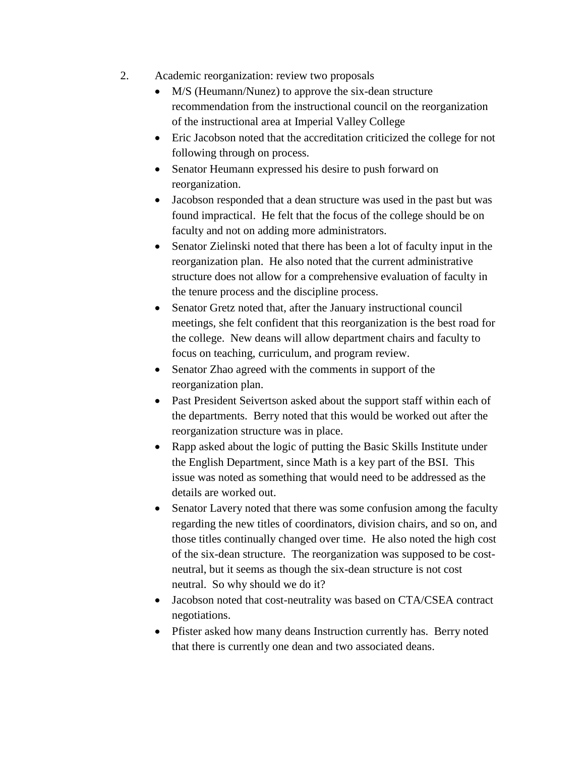- 2. Academic reorganization: review two proposals
	- M/S (Heumann/Nunez) to approve the six-dean structure recommendation from the instructional council on the reorganization of the instructional area at Imperial Valley College
	- Eric Jacobson noted that the accreditation criticized the college for not following through on process.
	- Senator Heumann expressed his desire to push forward on reorganization.
	- Jacobson responded that a dean structure was used in the past but was found impractical. He felt that the focus of the college should be on faculty and not on adding more administrators.
	- Senator Zielinski noted that there has been a lot of faculty input in the reorganization plan. He also noted that the current administrative structure does not allow for a comprehensive evaluation of faculty in the tenure process and the discipline process.
	- Senator Gretz noted that, after the January instructional council meetings, she felt confident that this reorganization is the best road for the college. New deans will allow department chairs and faculty to focus on teaching, curriculum, and program review.
	- Senator Zhao agreed with the comments in support of the reorganization plan.
	- Past President Seivertson asked about the support staff within each of the departments. Berry noted that this would be worked out after the reorganization structure was in place.
	- Rapp asked about the logic of putting the Basic Skills Institute under the English Department, since Math is a key part of the BSI. This issue was noted as something that would need to be addressed as the details are worked out.
	- Senator Lavery noted that there was some confusion among the faculty regarding the new titles of coordinators, division chairs, and so on, and those titles continually changed over time. He also noted the high cost of the six-dean structure. The reorganization was supposed to be costneutral, but it seems as though the six-dean structure is not cost neutral. So why should we do it?
	- Jacobson noted that cost-neutrality was based on CTA/CSEA contract negotiations.
	- Pfister asked how many deans Instruction currently has. Berry noted that there is currently one dean and two associated deans.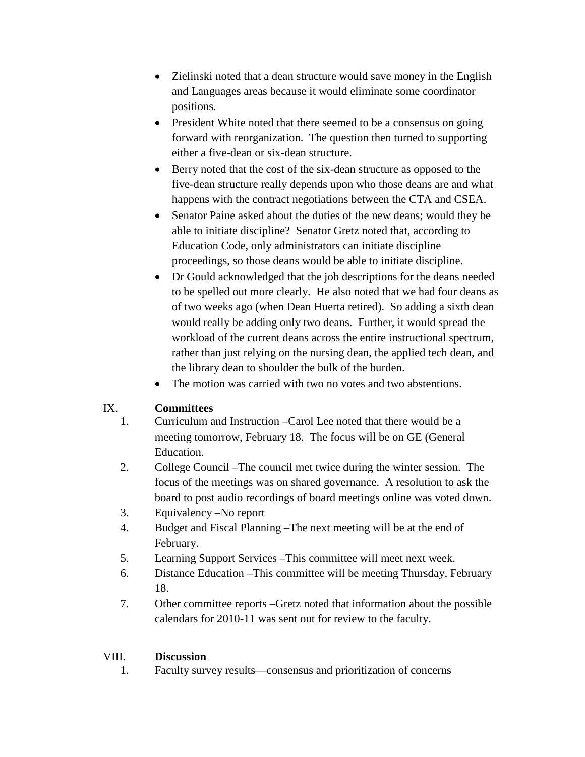- Zielinski noted that a dean structure would save money in the English and Languages areas because it would eliminate some coordinator positions.
- President White noted that there seemed to be a consensus on going forward with reorganization. The question then turned to supporting either a five-dean or six-dean structure.
- Berry noted that the cost of the six-dean structure as opposed to the five-dean structure really depends upon who those deans are and what happens with the contract negotiations between the CTA and CSEA.
- Senator Paine asked about the duties of the new deans; would they be able to initiate discipline? Senator Gretz noted that, according to Education Code, only administrators can initiate discipline proceedings, so those deans would be able to initiate discipline.
- Dr Gould acknowledged that the job descriptions for the deans needed to be spelled out more clearly. He also noted that we had four deans as of two weeks ago (when Dean Huerta retired). So adding a sixth dean would really be adding only two deans. Further, it would spread the workload of the current deans across the entire instructional spectrum, rather than just relying on the nursing dean, the applied tech dean, and the library dean to shoulder the bulk of the burden.
- The motion was carried with two no votes and two abstentions.

# IX. **Committees**

- 1. Curriculum and Instruction –Carol Lee noted that there would be a meeting tomorrow, February 18. The focus will be on GE (General Education.
- 2. College Council –The council met twice during the winter session. The focus of the meetings was on shared governance. A resolution to ask the board to post audio recordings of board meetings online was voted down.
- 3. Equivalency –No report
- 4. Budget and Fiscal Planning –The next meeting will be at the end of February.
- 5. Learning Support Services –This committee will meet next week.
- 6. Distance Education –This committee will be meeting Thursday, February 18.
- 7. Other committee reports –Gretz noted that information about the possible calendars for 2010-11 was sent out for review to the faculty.

# VIII. **Discussion**

1. Faculty survey results—consensus and prioritization of concerns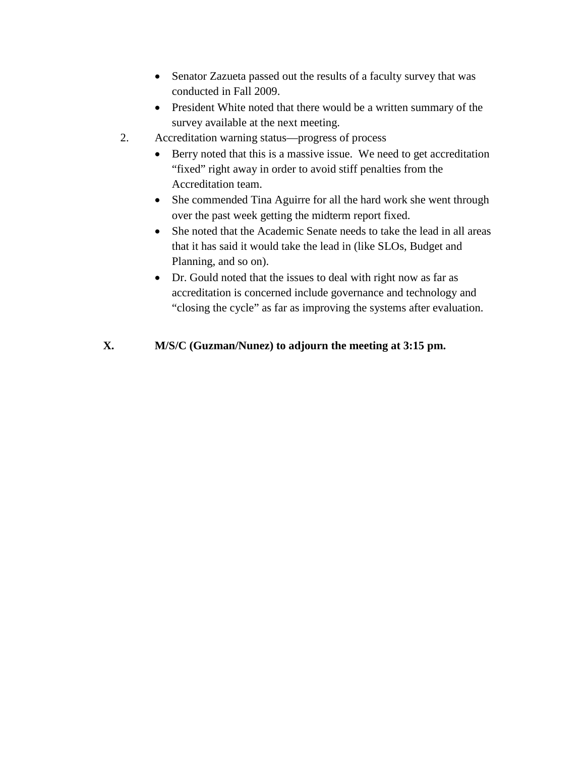- Senator Zazueta passed out the results of a faculty survey that was conducted in Fall 2009.
- President White noted that there would be a written summary of the survey available at the next meeting.
- 2. Accreditation warning status—progress of process
	- Berry noted that this is a massive issue. We need to get accreditation "fixed" right away in order to avoid stiff penalties from the Accreditation team.
	- She commended Tina Aguirre for all the hard work she went through over the past week getting the midterm report fixed.
	- She noted that the Academic Senate needs to take the lead in all areas that it has said it would take the lead in (like SLOs, Budget and Planning, and so on).
	- Dr. Gould noted that the issues to deal with right now as far as accreditation is concerned include governance and technology and "closing the cycle" as far as improving the systems after evaluation.

# **X. M/S/C (Guzman/Nunez) to adjourn the meeting at 3:15 pm.**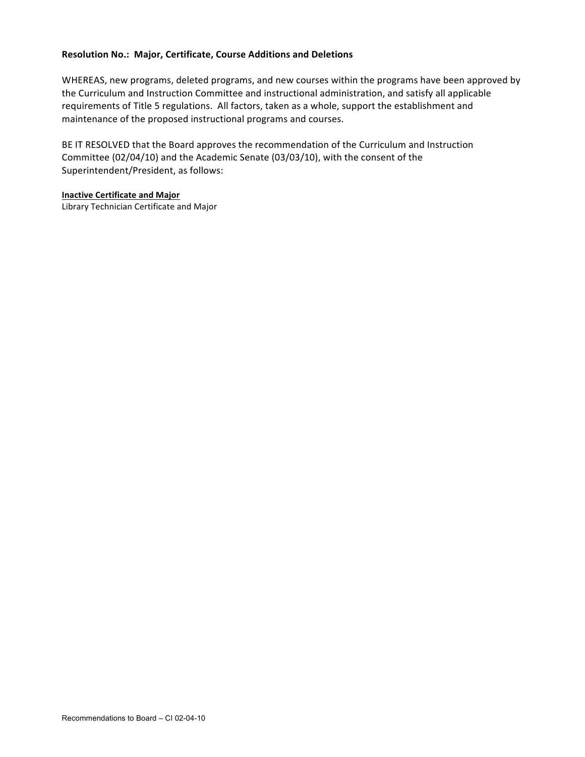#### **Resolution\*No.:\*\*Major,\*Certificate,\*Course\*Additions and\*Deletions**

WHEREAS, new programs, deleted programs, and new courses within the programs have been approved by the Curriculum and Instruction Committee and instructional administration, and satisfy all applicable requirements of Title 5 regulations. All factors, taken as a whole, support the establishment and maintenance of the proposed instructional programs and courses.

BE IT RESOLVED that the Board approves the recommendation of the Curriculum and Instruction Committee (02/04/10) and the Academic Senate (03/03/10), with the consent of the Superintendent/President, as follows:

#### **Inactive Certificate and Major**

Library Technician Certificate and Major